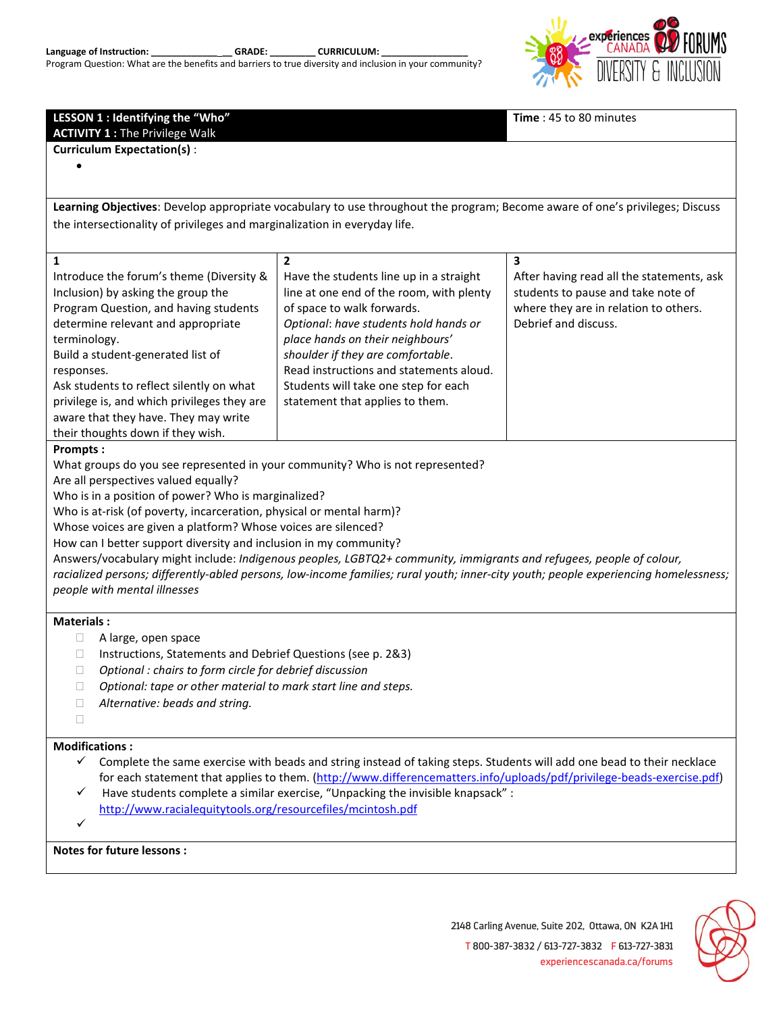|  | Language of Instruction: |  |
|--|--------------------------|--|
|  |                          |  |

GRADE: CURRICULUM:

Program Question: What are the benefits and barriers to true diversity and inclusion in your community?



| LESSON 1 : Identifying the "Who"<br><b>ACTIVITY 1: The Privilege Walk</b>                                                             | Time: 45 to 80 minutes                                                                                                       |                                           |  |  |  |  |  |  |  |
|---------------------------------------------------------------------------------------------------------------------------------------|------------------------------------------------------------------------------------------------------------------------------|-------------------------------------------|--|--|--|--|--|--|--|
| <b>Curriculum Expectation(s):</b>                                                                                                     |                                                                                                                              |                                           |  |  |  |  |  |  |  |
|                                                                                                                                       |                                                                                                                              |                                           |  |  |  |  |  |  |  |
|                                                                                                                                       |                                                                                                                              |                                           |  |  |  |  |  |  |  |
|                                                                                                                                       | Learning Objectives: Develop appropriate vocabulary to use throughout the program; Become aware of one's privileges; Discuss |                                           |  |  |  |  |  |  |  |
| the intersectionality of privileges and marginalization in everyday life.                                                             |                                                                                                                              |                                           |  |  |  |  |  |  |  |
|                                                                                                                                       |                                                                                                                              |                                           |  |  |  |  |  |  |  |
| $\overline{2}$<br>3<br>1                                                                                                              |                                                                                                                              |                                           |  |  |  |  |  |  |  |
| Introduce the forum's theme (Diversity &                                                                                              | Have the students line up in a straight                                                                                      | After having read all the statements, ask |  |  |  |  |  |  |  |
| Inclusion) by asking the group the                                                                                                    | line at one end of the room, with plenty                                                                                     | students to pause and take note of        |  |  |  |  |  |  |  |
| Program Question, and having students                                                                                                 | of space to walk forwards.                                                                                                   | where they are in relation to others.     |  |  |  |  |  |  |  |
| determine relevant and appropriate                                                                                                    | Optional: have students hold hands or                                                                                        | Debrief and discuss.                      |  |  |  |  |  |  |  |
| terminology.                                                                                                                          | place hands on their neighbours'<br>shoulder if they are comfortable.                                                        |                                           |  |  |  |  |  |  |  |
| Build a student-generated list of                                                                                                     | Read instructions and statements aloud.                                                                                      |                                           |  |  |  |  |  |  |  |
| responses.<br>Ask students to reflect silently on what                                                                                | Students will take one step for each                                                                                         |                                           |  |  |  |  |  |  |  |
| privilege is, and which privileges they are                                                                                           | statement that applies to them.                                                                                              |                                           |  |  |  |  |  |  |  |
| aware that they have. They may write                                                                                                  |                                                                                                                              |                                           |  |  |  |  |  |  |  |
| their thoughts down if they wish.                                                                                                     |                                                                                                                              |                                           |  |  |  |  |  |  |  |
| <b>Prompts:</b>                                                                                                                       |                                                                                                                              |                                           |  |  |  |  |  |  |  |
| What groups do you see represented in your community? Who is not represented?                                                         |                                                                                                                              |                                           |  |  |  |  |  |  |  |
| Are all perspectives valued equally?                                                                                                  |                                                                                                                              |                                           |  |  |  |  |  |  |  |
| Who is in a position of power? Who is marginalized?                                                                                   |                                                                                                                              |                                           |  |  |  |  |  |  |  |
| Who is at-risk (of poverty, incarceration, physical or mental harm)?<br>Whose voices are given a platform? Whose voices are silenced? |                                                                                                                              |                                           |  |  |  |  |  |  |  |
| How can I better support diversity and inclusion in my community?                                                                     |                                                                                                                              |                                           |  |  |  |  |  |  |  |
| Answers/vocabulary might include: Indigenous peoples, LGBTQ2+ community, immigrants and refugees, people of colour,                   |                                                                                                                              |                                           |  |  |  |  |  |  |  |
| racialized persons; differently-abled persons, low-income families; rural youth; inner-city youth; people experiencing homelessness;  |                                                                                                                              |                                           |  |  |  |  |  |  |  |
| people with mental illnesses                                                                                                          |                                                                                                                              |                                           |  |  |  |  |  |  |  |
|                                                                                                                                       |                                                                                                                              |                                           |  |  |  |  |  |  |  |
| <b>Materials:</b>                                                                                                                     |                                                                                                                              |                                           |  |  |  |  |  |  |  |
| O.                                                                                                                                    | A large, open space<br>Ш<br>Instructions, Statements and Debrief Questions (see p. 2&3)                                      |                                           |  |  |  |  |  |  |  |
| Optional : chairs to form circle for debrief discussion<br>$\Box$                                                                     |                                                                                                                              |                                           |  |  |  |  |  |  |  |
| Optional: tape or other material to mark start line and steps.<br>П                                                                   |                                                                                                                              |                                           |  |  |  |  |  |  |  |
| Alternative: beads and string.<br>Ш                                                                                                   |                                                                                                                              |                                           |  |  |  |  |  |  |  |
| $\mathbf{L}$                                                                                                                          |                                                                                                                              |                                           |  |  |  |  |  |  |  |
| <b>Modifications:</b>                                                                                                                 |                                                                                                                              |                                           |  |  |  |  |  |  |  |
| $\checkmark$                                                                                                                          | Complete the same exercise with beads and string instead of taking steps. Students will add one bead to their necklace       |                                           |  |  |  |  |  |  |  |
| for each statement that applies to them. (http://www.differencematters.info/uploads/pdf/privilege-beads-exercise.pdf)                 |                                                                                                                              |                                           |  |  |  |  |  |  |  |
| Have students complete a similar exercise, "Unpacking the invisible knapsack" :<br>✓                                                  |                                                                                                                              |                                           |  |  |  |  |  |  |  |
| http://www.racialequitytools.org/resourcefiles/mcintosh.pdf                                                                           |                                                                                                                              |                                           |  |  |  |  |  |  |  |
| ✓                                                                                                                                     |                                                                                                                              |                                           |  |  |  |  |  |  |  |
| Notes for future lessons :                                                                                                            |                                                                                                                              |                                           |  |  |  |  |  |  |  |



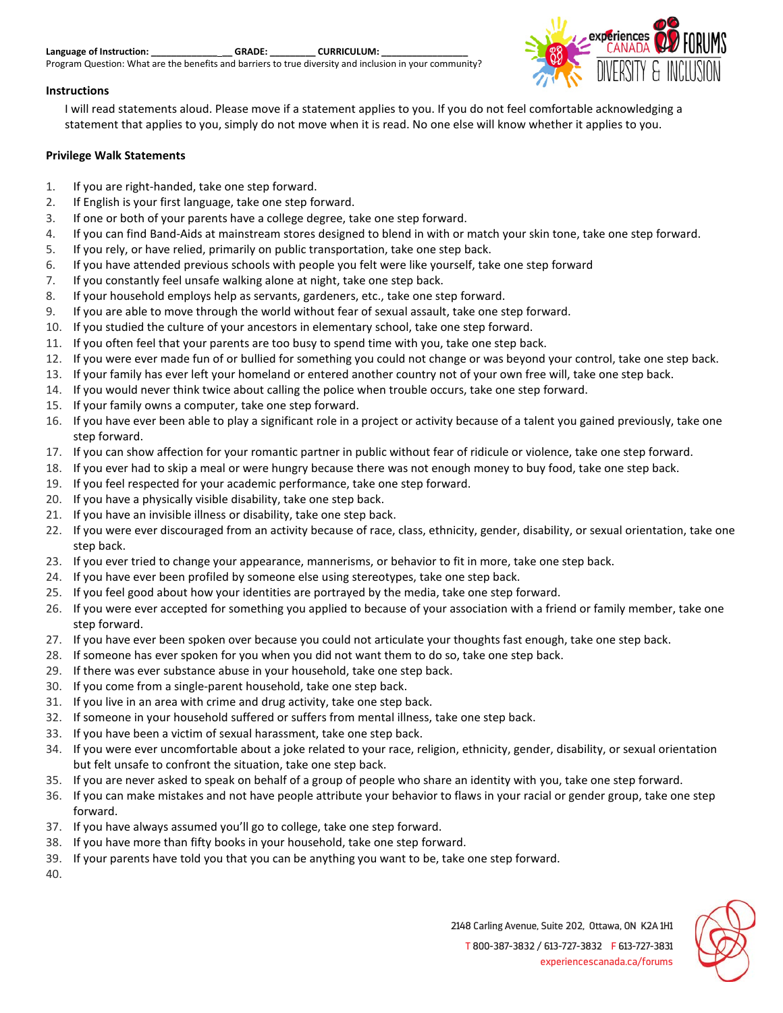| Language of Instruction: |  |  |  |  | <b>GRADE:</b> |  |  | <b>CURRICULUM:</b> |  |  |  |
|--------------------------|--|--|--|--|---------------|--|--|--------------------|--|--|--|
|                          |  |  |  |  |               |  |  |                    |  |  |  |

Program Question: What are the benefits and barriers to true diversity and inclusion in your community?

## experiences

## **Instructions**

I will read statements aloud. Please move if a statement applies to you. If you do not feel comfortable acknowledging a statement that applies to you, simply do not move when it is read. No one else will know whether it applies to you.

## **Privilege Walk Statements**

- 1. If you are right-handed, take one step forward.
- 2. If English is your first language, take one step forward.
- 3. If one or both of your parents have a college degree, take one step forward.
- 4. If you can find Band-Aids at mainstream stores designed to blend in with or match your skin tone, take one step forward.
- 5. If you rely, or have relied, primarily on public transportation, take one step back.
- 6. If you have attended previous schools with people you felt were like yourself, take one step forward
- 7. If you constantly feel unsafe walking alone at night, take one step back.
- 8. If your household employs help as servants, gardeners, etc., take one step forward.
- 9. If you are able to move through the world without fear of sexual assault, take one step forward.
- 10. If you studied the culture of your ancestors in elementary school, take one step forward.
- 11. If you often feel that your parents are too busy to spend time with you, take one step back.
- 12. If you were ever made fun of or bullied for something you could not change or was beyond your control, take one step back.
- 13. If your family has ever left your homeland or entered another country not of your own free will, take one step back.
- 14. If you would never think twice about calling the police when trouble occurs, take one step forward.
- 15. If your family owns a computer, take one step forward.
- 16. If you have ever been able to play a significant role in a project or activity because of a talent you gained previously, take one step forward.
- 17. If you can show affection for your romantic partner in public without fear of ridicule or violence, take one step forward.
- 18. If you ever had to skip a meal or were hungry because there was not enough money to buy food, take one step back.
- 19. If you feel respected for your academic performance, take one step forward.
- 20. If you have a physically visible disability, take one step back.
- 21. If you have an invisible illness or disability, take one step back.
- 22. If you were ever discouraged from an activity because of race, class, ethnicity, gender, disability, or sexual orientation, take one step back.
- 23. If you ever tried to change your appearance, mannerisms, or behavior to fit in more, take one step back.
- 24. If you have ever been profiled by someone else using stereotypes, take one step back.
- 25. If you feel good about how your identities are portrayed by the media, take one step forward.
- 26. If you were ever accepted for something you applied to because of your association with a friend or family member, take one step forward.
- 27. If you have ever been spoken over because you could not articulate your thoughts fast enough, take one step back.
- 28. If someone has ever spoken for you when you did not want them to do so, take one step back.
- 29. If there was ever substance abuse in your household, take one step back.
- 30. If you come from a single-parent household, take one step back.
- 31. If you live in an area with crime and drug activity, take one step back.
- 32. If someone in your household suffered or suffers from mental illness, take one step back.
- 33. If you have been a victim of sexual harassment, take one step back.
- 34. If you were ever uncomfortable about a joke related to your race, religion, ethnicity, gender, disability, or sexual orientation but felt unsafe to confront the situation, take one step back.
- 35. If you are never asked to speak on behalf of a group of people who share an identity with you, take one step forward.
- 36. If you can make mistakes and not have people attribute your behavior to flaws in your racial or gender group, take one step forward.
- 37. If you have always assumed you'll go to college, take one step forward.
- 38. If you have more than fifty books in your household, take one step forward.
- 39. If your parents have told you that you can be anything you want to be, take one step forward.

40.